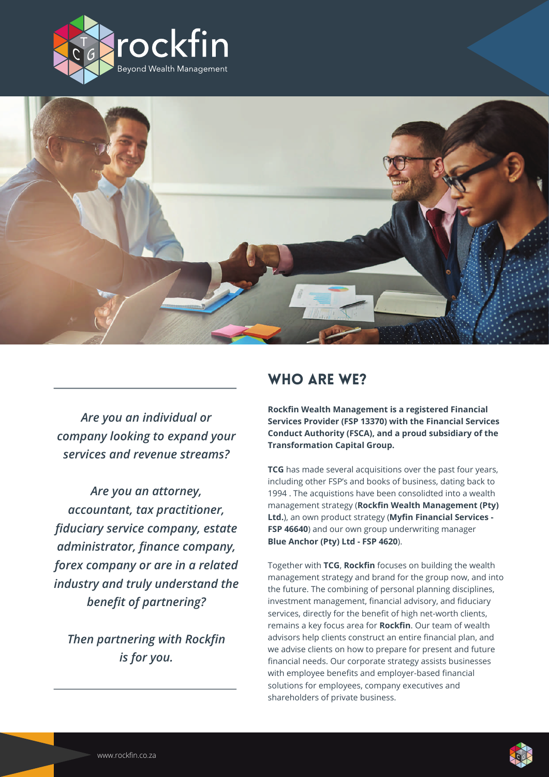



*Are you an individual or company looking to expand your services and revenue streams?*

*Are you an attorney, accountant, tax practitioner, fiduciary service company, estate administrator, finance company, forex company or are in a related industry and truly understand the benefit of partnering?*

*Then partnering with Rockfin is for you.*

# WHO ARE WE?

**Rockfin Wealth Management is a registered Financial Services Provider (FSP 13370) with the Financial Services Conduct Authority (FSCA), and a proud subsidiary of the Transformation Capital Group.** 

**TCG** has made several acquisitions over the past four years, including other FSP's and books of business, dating back to 1994 . The acquistions have been consolidted into a wealth management strategy (**Rockfin Wealth Management (Pty) Ltd.**), an own product strategy (**Myfin Financial Services - FSP 46640**) and our own group underwriting manager **Blue Anchor (Pty) Ltd - FSP 4620**).

Together with **TCG**, **Rockfin** focuses on building the wealth management strategy and brand for the group now, and into the future. The combining of personal planning disciplines, investment management, financial advisory, and fiduciary services, directly for the benefit of high net-worth clients, remains a key focus area for **Rockfin**. Our team of wealth advisors help clients construct an entire financial plan, and we advise clients on how to prepare for present and future financial needs. Our corporate strategy assists businesses with employee benefits and employer-based financial solutions for employees, company executives and shareholders of private business.